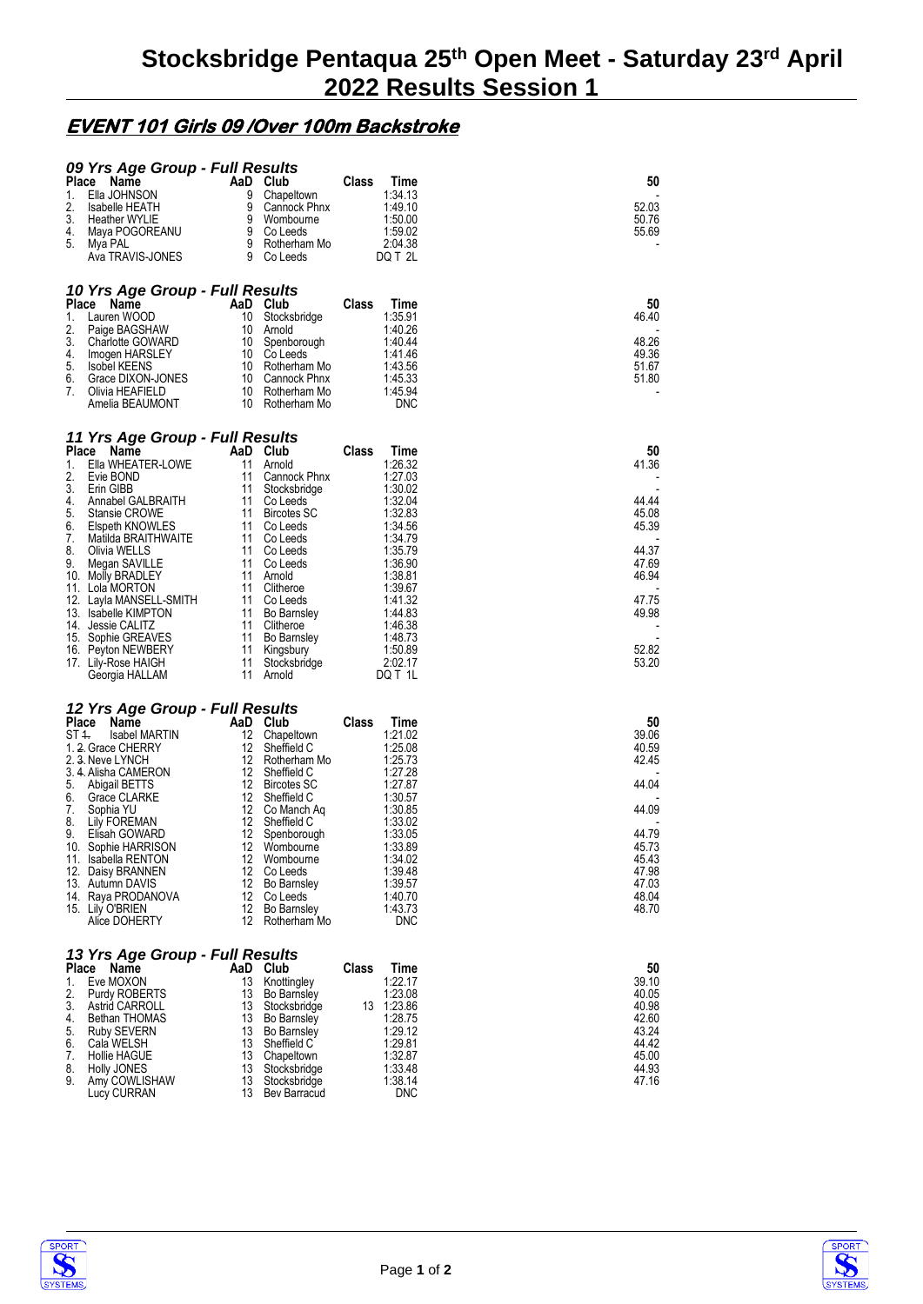## **EVENT 101 Girls 09 /Over 100m Backstroke**

| 09 Yrs Age Group - Full Results                    |                                                |                       |                |
|----------------------------------------------------|------------------------------------------------|-----------------------|----------------|
| Place<br>Name                                      | AaD Club                                       | Class<br>Time         | 50             |
| 1.<br>Ella JOHNSON<br>2.<br><b>Isabelle HEATH</b>  | 9<br>Chapeltown<br>9<br>Cannock Phnx           | 1:34.13<br>1:49.10    | 52.03          |
| 3.<br><b>Heather WYLIE</b>                         | 9<br>Wombourne                                 | 1:50.00               | 50.76          |
| 4.<br>Maya POGOREANU                               | 9<br>Co Leeds                                  | 1:59.02               | 55.69          |
| 5.<br>Mya PAL                                      | 9<br>Rotherham Mo<br>9                         | 2:04.38               |                |
| Ava TRAVIS-JONES                                   | Co Leeds                                       | DQ T 2L               |                |
| 10 Yrs Age Group - Full Results                    |                                                |                       |                |
| <b>Place</b><br>Name                               | AaD Club                                       | Class<br>Time         | 50             |
| 1.<br>Lauren WOOD                                  | 10<br>Stocksbridge                             | 1:35.91               | 46.40          |
| 2.<br>Paige BAGSHAW<br>3.                          | 10<br>Arnold<br>10                             | 1:40.26<br>1:40.44    | 48.26          |
| <b>Charlotte GOWARD</b><br>4.<br>Imogen HARSLEY    | Spenborough<br>10 Co Leeds                     | 1:41.46               | 49.36          |
| 5.<br><b>Isobel KEENS</b>                          | 10 Rotherham Mo                                | 1:43.56               | 51.67          |
| 6.<br>Grace DIXON-JONES                            | 10<br>Cannock Phnx                             | 1:45.33               | 51.80          |
| 7.<br>Olivia HEAFIELD<br>Amelia BEAUMONT           | 10<br>Rotherham Mo<br>10<br>Rotherham Mo       | 1:45.94<br>DNC        |                |
|                                                    |                                                |                       |                |
| 11 Yrs Age Group - Full Results                    |                                                |                       |                |
| Place Name                                         | AaD Club                                       | Class<br>Time         | 50             |
| 1.<br>Ella WHEATER-LOWE<br>2.<br>Evie BOND         | 11<br>Arnold<br>11<br>Cannock Phnx             | 1:26.32<br>1:27.03    | 41.36          |
| 3.<br>Erin GIBB                                    | 11<br>Stocksbridge                             | 1:30.02               |                |
| 4.<br>Annabel GALBRAITH                            | 11<br>Co Leeds                                 | 1:32.04               | 44.44          |
| 5.<br>Stansie CROWE                                | 11 Bircotes SC                                 | 1:32.83               | 45.08          |
| 6.<br>Elspeth KNOWLES<br>7.<br>Matilda BRAITHWAITE | 11 Co Leeds<br>11<br>Co Leeds                  | 1:34.56<br>1:34.79    | 45.39          |
| 8.<br>Olivia WELLS                                 | 11 Co Leeds                                    | 1:35.79               | 44.37          |
| 9.<br>Megan SAVILLE                                | 11 Co Leeds                                    | 1:36.90               | 47.69          |
| 10. Molly BRADLEY<br>11. Lola MORTON               | 11<br>Arnold<br>11<br>Clitheroe                | 1:38.81<br>1:39.67    | 46.94          |
| 12. Layla MANSELL-SMITH                            | 11 Co Leeds                                    | 1:41.32               | 47.75          |
| 13. Isabelle KIMPTON                               | 11<br><b>Bo Barnsley</b>                       | 1:44.83               | 49.98          |
| 14. Jessie CALITZ                                  | 11 Clitheroe                                   | 1:46.38               |                |
| 15. Sophie GREAVES<br>16. Peyton NEWBERY           | 11<br><b>Bo Barnsley</b><br>11<br>Kingsbury    | 1:48.73<br>1:50.89    | 52.82          |
| 17. Lily-Rose HAIGH                                | 11<br>Stocksbridge                             | 2:02.17               | 53.20          |
| Georgia HALLAM                                     | 11<br>Arnold                                   | DQ T 1L               |                |
|                                                    |                                                |                       |                |
| 12 Yrs Age Group - Full Results<br>Place<br>Name   | AaD Club                                       | Class<br>Time         | 50             |
| ST 1.<br><b>Isabel MARTIN</b>                      | 12<br>Chapeltown                               | 1:21.02               | 39.06          |
| 1. 2. Grace CHERRY                                 | 12<br>Sheffield C                              | 1:25.08               | 40.59          |
| 2. 3. Neve LYNCH<br>3.4. Alisha CAMERON            | 12<br>Rotherham Mo<br>12<br>Sheffield C        | 1:25.73<br>1:27.28    | 42.45          |
| 5.<br>Abigail BETTS                                | 12 Bircotes SC                                 | 1:27.87               | 44.04          |
| 6.<br>Grace CLARKE                                 | 12<br>Sheffield C                              | 1:30.57               |                |
| 7.<br>Sophia YU<br>8.                              | 12<br>Co Manch Aq<br>12                        | 1:30.85               | 44.09          |
| Lily FOREMAN<br>9.<br>Elisah GOWARD                | Sheffield C<br>12<br>Spenborough               | 1:33.02<br>1:33.05    | 44.79          |
| 10. Sophie HARRISON                                | 12<br>Wombourne                                | 1:33.89               | 45.73          |
| 11. Isabella RENTON                                | 12<br>Wombourne                                | 1:34.02               | 45.43          |
| 12. Daisy BRANNEN<br>13. Autumn DAVIS              | 12<br>Co Leeds<br>12<br><b>Bo Barnsley</b>     | 1:39.48<br>1:39.57    | 47.98<br>47.03 |
| 14. Raya PRODANOVA                                 | 12<br>Co Leeds                                 | 1:40.70               | 48.04          |
| 15. Lily O'BRIEN                                   | 12<br><b>Bo Barnsley</b>                       | 1:43.73               | 48.70          |
| Alice DOHERTY                                      | 12<br>Rotherham Mo                             | <b>DNC</b>            |                |
| 13 Yrs Age Group - Full Results                    |                                                |                       |                |
| Place<br>Name                                      | AaD Club                                       | Class<br>Time         | 50             |
| Eve MOXON<br>1.                                    | 13<br>Knottingley                              | 1:22.17               | 39.10          |
| 2.<br>Purdy ROBERTS<br>3.<br>Astrid CARROLL        | 13<br><b>Bo Barnsley</b><br>13<br>Stocksbridge | 1:23.08<br>13 1:23.86 | 40.05<br>40.98 |
| 4.<br>Bethan THOMAS                                | 13<br>Bo Barnsley                              | 1:28.75               | 42.60          |
| 5.<br><b>Ruby SEVERN</b>                           | 13<br><b>Bo Barnsley</b>                       | 1:29.12               | 43.24          |
| 6.<br>Cala WELSH<br>7.<br>Hollie HAGUE             | 13<br>Sheffield C<br>13<br>Chapeltown          | 1:29.81<br>1:32.87    | 44.42<br>45.00 |
| 8.<br>Holly JONES                                  | 13<br>Stocksbridge                             | 1:33.48               | 44.93          |
| 9.<br>Amy COWLISHAW                                | 13<br>Stocksbridge                             | 1:38.14               | 47.16          |
| Lucy CURRAN                                        | 13<br>Bev Barracud                             | <b>DNC</b>            |                |